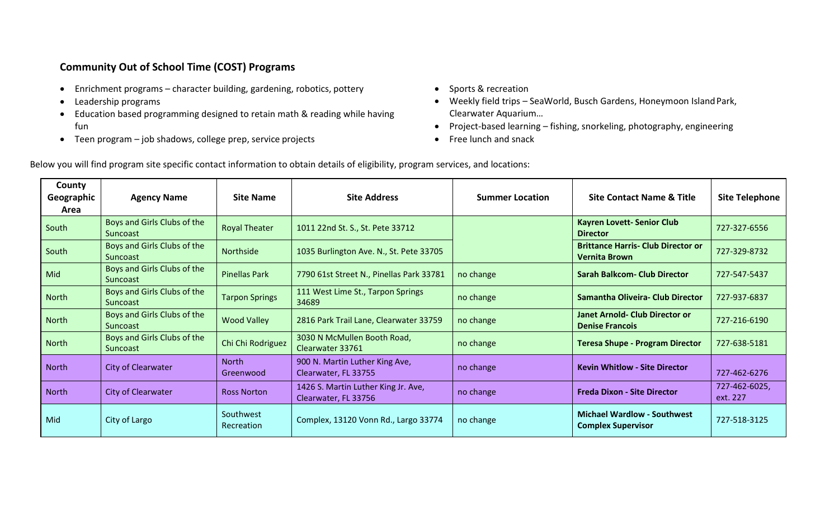## **Community Out of School Time (COST) Programs**

- Enrichment programs character building, gardening, robotics, pottery
- Leadership programs
- Education based programming designed to retain math & reading while having fun
- Teen program job shadows, college prep, service projects
- Sports & recreation
- Weekly field trips SeaWorld, Busch Gardens, Honeymoon Island Park, Clearwater Aquarium…
- Project-based learning fishing, snorkeling, photography, engineering
- Free lunch and snack

Below you will find program site specific contact information to obtain details of eligibility, program services, and locations:

| County<br>Geographic<br>Area | <b>Agency Name</b>                             | <b>Site Name</b>          | <b>Site Address</b>                                         | <b>Summer Location</b> | <b>Site Contact Name &amp; Title</b>                              | <b>Site Telephone</b>     |
|------------------------------|------------------------------------------------|---------------------------|-------------------------------------------------------------|------------------------|-------------------------------------------------------------------|---------------------------|
| South                        | Boys and Girls Clubs of the<br><b>Suncoast</b> | <b>Royal Theater</b>      | 1011 22nd St. S., St. Pete 33712                            |                        | <b>Kayren Lovett-Senior Club</b><br><b>Director</b>               | 727-327-6556              |
| South                        | Boys and Girls Clubs of the<br>Suncoast        | Northside                 | 1035 Burlington Ave. N., St. Pete 33705                     |                        | <b>Brittance Harris- Club Director or</b><br><b>Vernita Brown</b> | 727-329-8732              |
| Mid                          | Boys and Girls Clubs of the<br><b>Suncoast</b> | <b>Pinellas Park</b>      | 7790 61st Street N., Pinellas Park 33781                    | no change              | Sarah Balkcom- Club Director                                      | 727-547-5437              |
| North                        | Boys and Girls Clubs of the<br>Suncoast        | <b>Tarpon Springs</b>     | 111 West Lime St., Tarpon Springs<br>34689                  | no change              | Samantha Oliveira- Club Director                                  | 727-937-6837              |
| <b>North</b>                 | Boys and Girls Clubs of the<br><b>Suncoast</b> | <b>Wood Valley</b>        | 2816 Park Trail Lane, Clearwater 33759                      | no change              | Janet Arnold- Club Director or<br><b>Denise Francois</b>          | 727-216-6190              |
| North                        | Boys and Girls Clubs of the<br><b>Suncoast</b> | Chi Chi Rodriguez         | 3030 N McMullen Booth Road,<br>Clearwater 33761             | no change              | <b>Teresa Shupe - Program Director</b>                            | 727-638-5181              |
| North                        | City of Clearwater                             | <b>North</b><br>Greenwood | 900 N. Martin Luther King Ave,<br>Clearwater, FL 33755      | no change              | <b>Kevin Whitlow - Site Director</b>                              | 727-462-6276              |
| <b>North</b>                 | City of Clearwater                             | <b>Ross Norton</b>        | 1426 S. Martin Luther King Jr. Ave,<br>Clearwater, FL 33756 | no change              | <b>Freda Dixon - Site Director</b>                                | 727-462-6025,<br>ext. 227 |
| Mid                          | City of Largo                                  | Southwest<br>Recreation   | Complex, 13120 Vonn Rd., Largo 33774                        | no change              | <b>Michael Wardlow - Southwest</b><br><b>Complex Supervisor</b>   | 727-518-3125              |